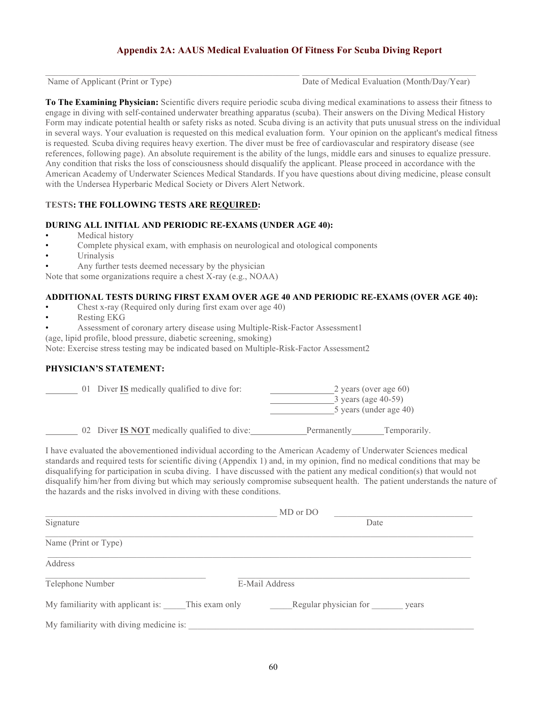# **Appendix 2A: AAUS Medical Evaluation Of Fitness For Scuba Diving Report**

 $\_$  , and the state of the state of the state of the state of the state of the state of the state of the state of the state of the state of the state of the state of the state of the state of the state of the state of the

Name of Applicant (Print or Type) Date of Medical Evaluation (Month/Day/Year)

**To The Examining Physician:** Scientific divers require periodic scuba diving medical examinations to assess their fitness to engage in diving with self-contained underwater breathing apparatus (scuba). Their answers on the Diving Medical History Form may indicate potential health or safety risks as noted. Scuba diving is an activity that puts unusual stress on the individual in several ways. Your evaluation is requested on this medical evaluation form. Your opinion on the applicant's medical fitness is requested*.* Scuba diving requires heavy exertion. The diver must be free of cardiovascular and respiratory disease (see references, following page). An absolute requirement is the ability of the lungs, middle ears and sinuses to equalize pressure. Any condition that risks the loss of consciousness should disqualify the applicant. Please proceed in accordance with the American Academy of Underwater Sciences Medical Standards. If you have questions about diving medicine, please consult with the Undersea Hyperbaric Medical Society or Divers Alert Network.

#### **TESTS: THE FOLLOWING TESTS ARE REQUIRED:**

### **DURING ALL INITIAL AND PERIODIC RE-EXAMS (UNDER AGE 40):**

- Medical history
- Complete physical exam, with emphasis on neurological and otological components
- Urinalysis
	- Any further tests deemed necessary by the physician

Note that some organizations require a chest X-ray (e.g., NOAA)

#### **ADDITIONAL TESTS DURING FIRST EXAM OVER AGE 40 AND PERIODIC RE-EXAMS (OVER AGE 40):**

- Chest x-ray (Required only during first exam over age 40)
- Resting EKG
- Assessment of coronary artery disease using Multiple-Risk-Factor Assessment1

(age, lipid profile, blood pressure, diabetic screening, smoking)

Note: Exercise stress testing may be indicated based on Multiple-Risk-Factor Assessment2

## **PHYSICIAN'S STATEMENT:**

| 01 Diver IS medically qualified to dive for: | 2 years (over age $60$ )<br>$3$ years (age 40-59)<br>5 years (under age 40) |
|----------------------------------------------|-----------------------------------------------------------------------------|
| 02 Diver IS NOT medically qualified to dive: | Temporarily.<br>Permanently                                                 |

I have evaluated the abovementioned individual according to the American Academy of Underwater Sciences medical standards and required tests for scientific diving (Appendix 1) and, in my opinion, find no medical conditions that may be disqualifying for participation in scuba diving. I have discussed with the patient any medical condition(s) that would not disqualify him/her from diving but which may seriously compromise subsequent health. The patient understands the nature of the hazards and the risks involved in diving with these conditions.

| MD or DO                                         |                                |
|--------------------------------------------------|--------------------------------|
| Signature                                        | Date                           |
| Name (Print or Type)                             |                                |
| Address                                          |                                |
| Telephone Number                                 | E-Mail Address                 |
| My familiarity with applicant is: This exam only | Regular physician for<br>years |
| My familiarity with diving medicine is:          |                                |